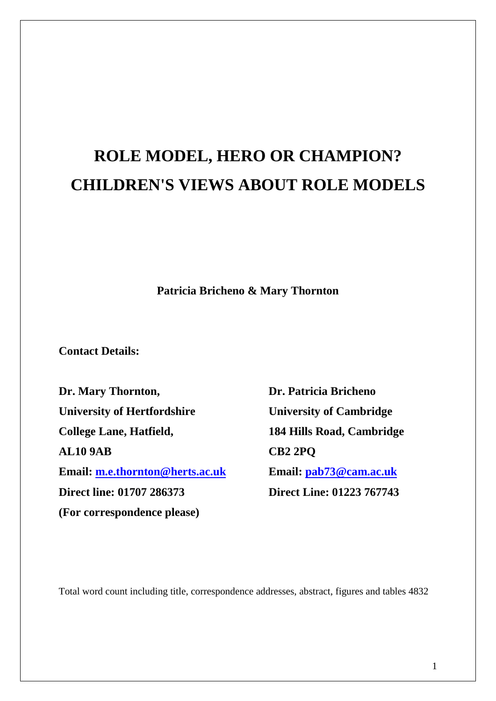# **ROLE MODEL, HERO OR CHAMPION? CHILDREN'S VIEWS ABOUT ROLE MODELS**

**Patricia Bricheno & Mary Thornton**

**Contact Details:**

**Dr. Mary Thornton, Dr. Patricia Bricheno University of Hertfordshire University of Cambridge College Lane, Hatfield, 184 Hills Road, Cambridge AL10 9AB CB2 2PQ Email: [m.e.thornton@herts.ac.uk](mailto:m.e.thornton@herts.ac.uk) Email: [pab73@cam.ac.uk](mailto:Bricheno@globalnet.co.uk) Direct line: 01707 286373 Direct Line: 01223 767743 (For correspondence please)**

Total word count including title, correspondence addresses, abstract, figures and tables 4832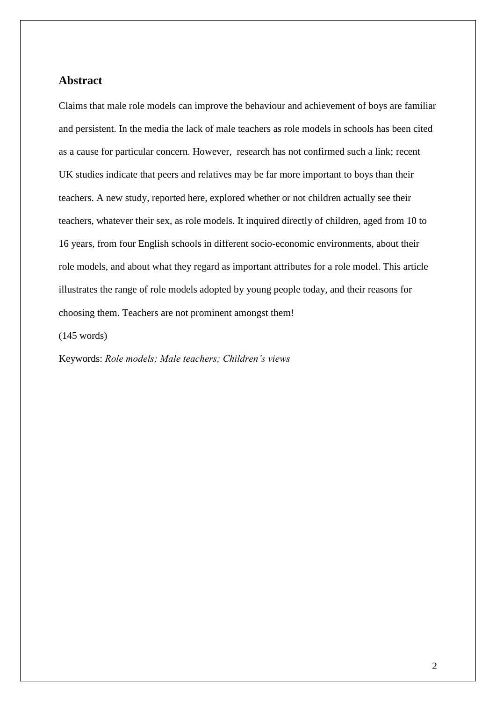## **Abstract**

Claims that male role models can improve the behaviour and achievement of boys are familiar and persistent. In the media the lack of male teachers as role models in schools has been cited as a cause for particular concern. However, research has not confirmed such a link; recent UK studies indicate that peers and relatives may be far more important to boys than their teachers. A new study, reported here, explored whether or not children actually see their teachers, whatever their sex, as role models. It inquired directly of children, aged from 10 to 16 years, from four English schools in different socio-economic environments, about their role models, and about what they regard as important attributes for a role model. This article illustrates the range of role models adopted by young people today, and their reasons for choosing them. Teachers are not prominent amongst them!

(145 words)

Keywords: *Role models; Male teachers; Children"s views*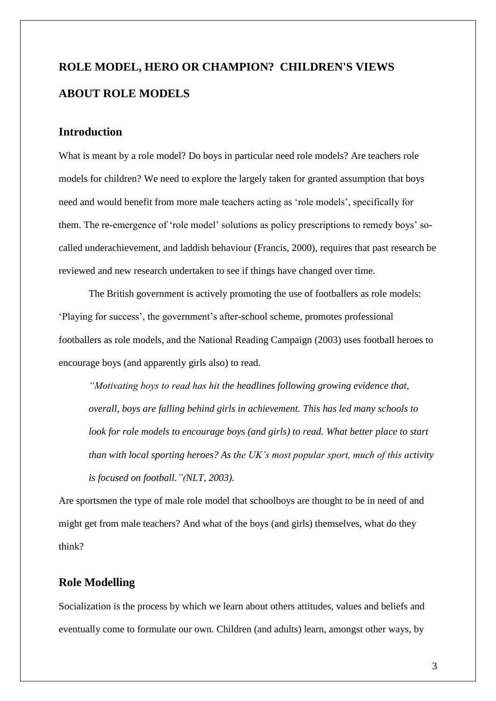## **ROLE MODEL, HERO OR CHAMPION? CHILDREN'S VIEWS ABOUT ROLE MODELS**

## **Introduction**

What is meant by a role model? Do boys in particular need role models? Are teachers role models for children? We need to explore the largely taken for granted assumption that boys need and would benefit from more male teachers acting as "role models", specifically for them. The re-emergence of "role model" solutions as policy prescriptions to remedy boys" socalled underachievement, and laddish behaviour (Francis, 2000), requires that past research be reviewed and new research undertaken to see if things have changed over time.

The British government is actively promoting the use of footballers as role models: "Playing for success", the government"s after-school scheme, promotes professional footballers as role models, and the National Reading Campaign (2003) uses football heroes to encourage boys (and apparently girls also) to read.

*"Motivating boys to read has hit the headlines following growing evidence that, overall, boys are falling behind girls in achievement. This has led many schools to look for role models to encourage boys (and girls) to read. What better place to start than with local sporting heroes? As the UK"s most popular sport, much of this activity is focused on football."(NLT, 2003).*

Are sportsmen the type of male role model that schoolboys are thought to be in need of and might get from male teachers? And what of the boys (and girls) themselves, what do they think?

## **Role Modelling**

Socialization is the process by which we learn about others attitudes, values and beliefs and eventually come to formulate our own. Children (and adults) learn, amongst other ways, by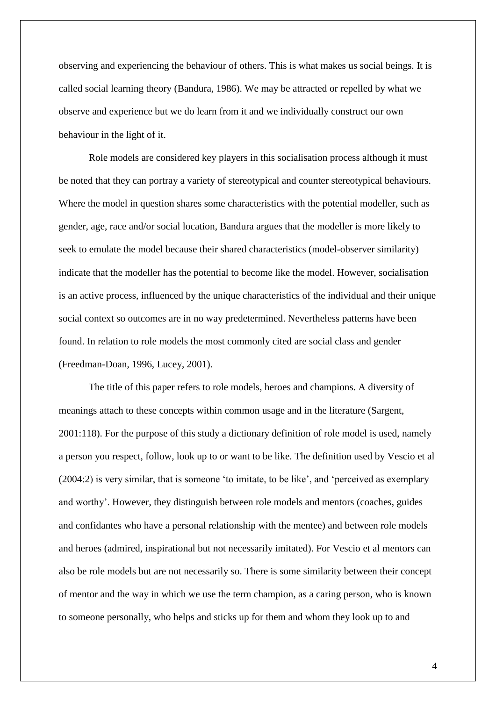observing and experiencing the behaviour of others. This is what makes us social beings. It is called social learning theory (Bandura, 1986). We may be attracted or repelled by what we observe and experience but we do learn from it and we individually construct our own behaviour in the light of it.

Role models are considered key players in this socialisation process although it must be noted that they can portray a variety of stereotypical and counter stereotypical behaviours. Where the model in question shares some characteristics with the potential modeller, such as gender, age, race and/or social location, Bandura argues that the modeller is more likely to seek to emulate the model because their shared characteristics (model-observer similarity) indicate that the modeller has the potential to become like the model. However, socialisation is an active process, influenced by the unique characteristics of the individual and their unique social context so outcomes are in no way predetermined. Nevertheless patterns have been found. In relation to role models the most commonly cited are social class and gender (Freedman-Doan, 1996, Lucey, 2001).

The title of this paper refers to role models, heroes and champions. A diversity of meanings attach to these concepts within common usage and in the literature (Sargent, 2001:118). For the purpose of this study a dictionary definition of role model is used, namely a person you respect, follow, look up to or want to be like. The definition used by Vescio et al (2004:2) is very similar, that is someone "to imitate, to be like", and "perceived as exemplary and worthy". However, they distinguish between role models and mentors (coaches, guides and confidantes who have a personal relationship with the mentee) and between role models and heroes (admired, inspirational but not necessarily imitated). For Vescio et al mentors can also be role models but are not necessarily so. There is some similarity between their concept of mentor and the way in which we use the term champion, as a caring person, who is known to someone personally, who helps and sticks up for them and whom they look up to and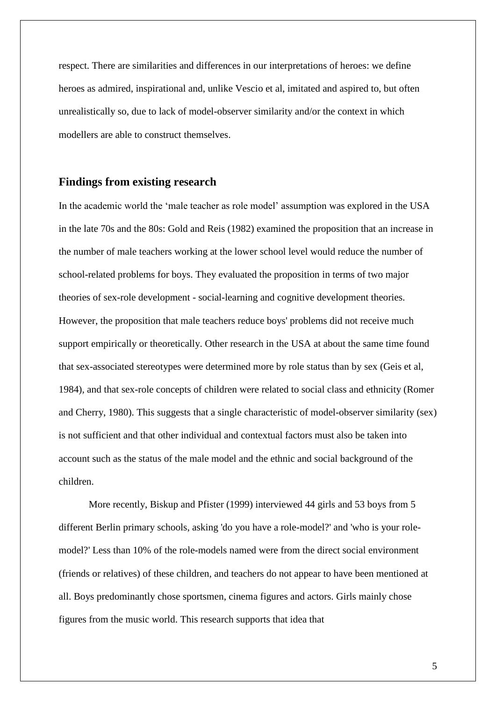respect. There are similarities and differences in our interpretations of heroes: we define heroes as admired, inspirational and, unlike Vescio et al, imitated and aspired to, but often unrealistically so, due to lack of model-observer similarity and/or the context in which modellers are able to construct themselves.

## **Findings from existing research**

In the academic world the "male teacher as role model" assumption was explored in the USA in the late 70s and the 80s: Gold and Reis (1982) examined the proposition that an increase in the number of male teachers working at the lower school level would reduce the number of school-related problems for boys. They evaluated the proposition in terms of two major theories of sex-role development - social-learning and cognitive development theories. However, the proposition that male teachers reduce boys' problems did not receive much support empirically or theoretically. Other research in the USA at about the same time found that sex-associated stereotypes were determined more by role status than by sex (Geis et al, 1984), and that sex-role concepts of children were related to social class and ethnicity (Romer and Cherry, 1980). This suggests that a single characteristic of model-observer similarity (sex) is not sufficient and that other individual and contextual factors must also be taken into account such as the status of the male model and the ethnic and social background of the children.

More recently, Biskup and Pfister (1999) interviewed 44 girls and 53 boys from 5 different Berlin primary schools, asking 'do you have a role-model?' and 'who is your rolemodel?' Less than 10% of the role-models named were from the direct social environment (friends or relatives) of these children, and teachers do not appear to have been mentioned at all. Boys predominantly chose sportsmen, cinema figures and actors. Girls mainly chose figures from the music world. This research supports that idea that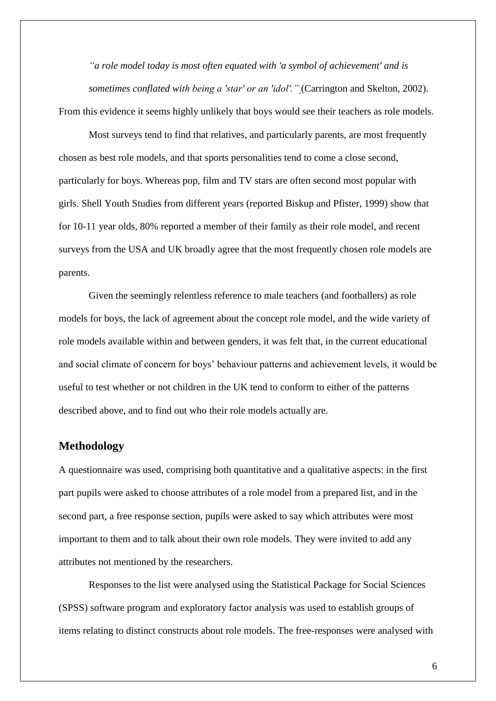*"a role model today is most often equated with 'a symbol of achievement' and is sometimes conflated with being a 'star' or an 'idol'."* (Carrington and Skelton, 2002). From this evidence it seems highly unlikely that boys would see their teachers as role models.

Most surveys tend to find that relatives, and particularly parents, are most frequently chosen as best role models, and that sports personalities tend to come a close second, particularly for boys. Whereas pop, film and TV stars are often second most popular with girls. Shell Youth Studies from different years (reported Biskup and Pfister, 1999) show that for 10-11 year olds, 80% reported a member of their family as their role model, and recent surveys from the USA and UK broadly agree that the most frequently chosen role models are parents.

Given the seemingly relentless reference to male teachers (and footballers) as role models for boys, the lack of agreement about the concept role model, and the wide variety of role models available within and between genders, it was felt that, in the current educational and social climate of concern for boys" behaviour patterns and achievement levels, it would be useful to test whether or not children in the UK tend to conform to either of the patterns described above, and to find out who their role models actually are.

## **Methodology**

A questionnaire was used, comprising both quantitative and a qualitative aspects: in the first part pupils were asked to choose attributes of a role model from a prepared list, and in the second part, a free response section, pupils were asked to say which attributes were most important to them and to talk about their own role models. They were invited to add any attributes not mentioned by the researchers.

Responses to the list were analysed using the Statistical Package for Social Sciences (SPSS) software program and exploratory factor analysis was used to establish groups of items relating to distinct constructs about role models. The free-responses were analysed with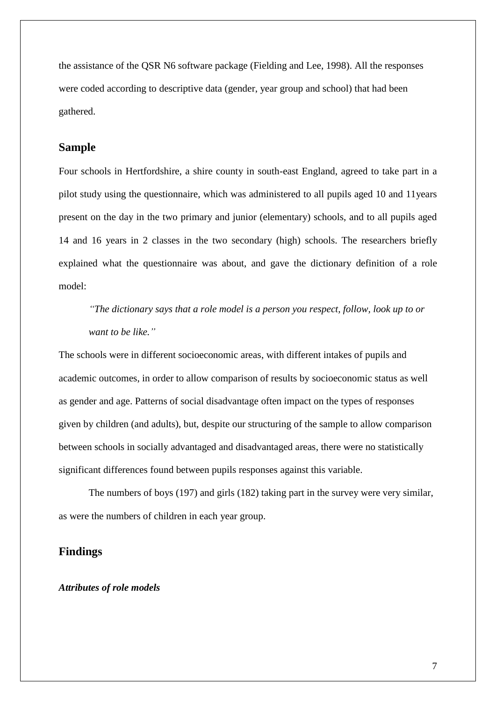the assistance of the QSR N6 software package (Fielding and Lee, 1998). All the responses were coded according to descriptive data (gender, year group and school) that had been gathered.

## **Sample**

Four schools in Hertfordshire, a shire county in south-east England, agreed to take part in a pilot study using the questionnaire, which was administered to all pupils aged 10 and 11years present on the day in the two primary and junior (elementary) schools, and to all pupils aged 14 and 16 years in 2 classes in the two secondary (high) schools. The researchers briefly explained what the questionnaire was about, and gave the dictionary definition of a role model:

*"The dictionary says that a role model is a person you respect, follow, look up to or want to be like."*

The schools were in different socioeconomic areas, with different intakes of pupils and academic outcomes, in order to allow comparison of results by socioeconomic status as well as gender and age. Patterns of social disadvantage often impact on the types of responses given by children (and adults), but, despite our structuring of the sample to allow comparison between schools in socially advantaged and disadvantaged areas, there were no statistically significant differences found between pupils responses against this variable.

The numbers of boys (197) and girls (182) taking part in the survey were very similar, as were the numbers of children in each year group.

## **Findings**

## *Attributes of role models*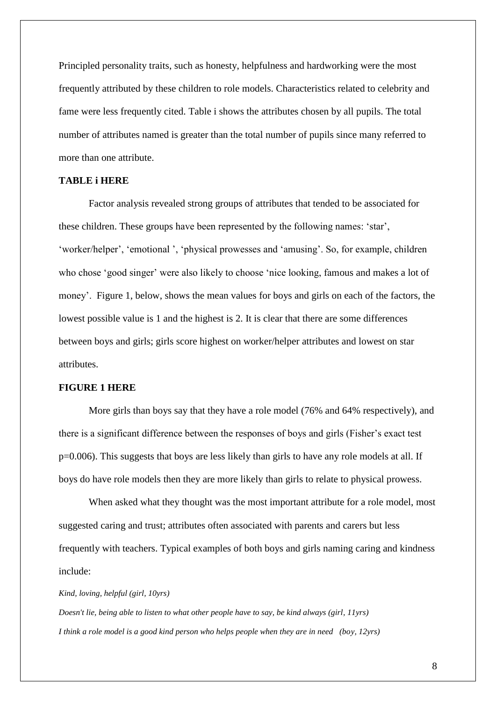Principled personality traits, such as honesty, helpfulness and hardworking were the most frequently attributed by these children to role models. Characteristics related to celebrity and fame were less frequently cited. Table i shows the attributes chosen by all pupils. The total number of attributes named is greater than the total number of pupils since many referred to more than one attribute.

## **TABLE i HERE**

Factor analysis revealed strong groups of attributes that tended to be associated for these children. These groups have been represented by the following names: "star", 'worker/helper', 'emotional', 'physical prowesses and 'amusing'. So, for example, children who chose 'good singer' were also likely to choose 'nice looking, famous and makes a lot of money'. Figure 1, below, shows the mean values for boys and girls on each of the factors, the lowest possible value is 1 and the highest is 2. It is clear that there are some differences between boys and girls; girls score highest on worker/helper attributes and lowest on star attributes.

#### **FIGURE 1 HERE**

More girls than boys say that they have a role model (76% and 64% respectively), and there is a significant difference between the responses of boys and girls (Fisher"s exact test p=0.006). This suggests that boys are less likely than girls to have any role models at all. If boys do have role models then they are more likely than girls to relate to physical prowess.

When asked what they thought was the most important attribute for a role model, most suggested caring and trust; attributes often associated with parents and carers but less frequently with teachers. Typical examples of both boys and girls naming caring and kindness include:

#### *Kind, loving, helpful (girl, 10yrs)*

*Doesn't lie, being able to listen to what other people have to say, be kind always (girl, 11yrs) I think a role model is a good kind person who helps people when they are in need (boy, 12yrs)*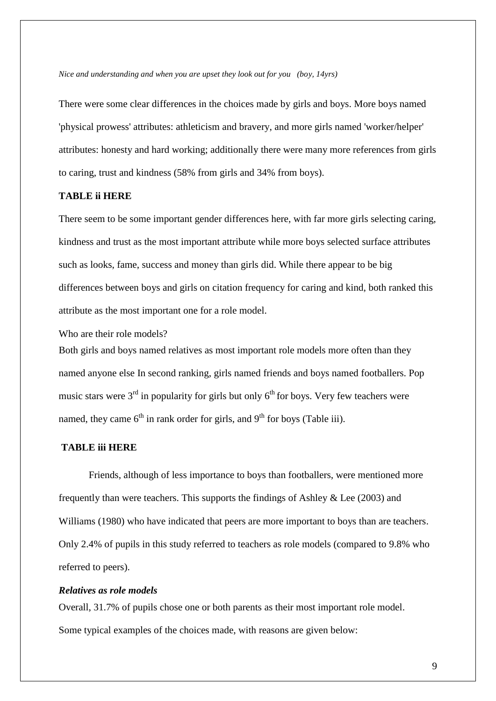*Nice and understanding and when you are upset they look out for you (boy, 14yrs)*

There were some clear differences in the choices made by girls and boys. More boys named 'physical prowess' attributes: athleticism and bravery, and more girls named 'worker/helper' attributes: honesty and hard working; additionally there were many more references from girls to caring, trust and kindness (58% from girls and 34% from boys).

## **TABLE ii HERE**

There seem to be some important gender differences here, with far more girls selecting caring, kindness and trust as the most important attribute while more boys selected surface attributes such as looks, fame, success and money than girls did. While there appear to be big differences between boys and girls on citation frequency for caring and kind, both ranked this attribute as the most important one for a role model.

Who are their role models?

Both girls and boys named relatives as most important role models more often than they named anyone else In second ranking, girls named friends and boys named footballers. Pop music stars were  $3<sup>rd</sup>$  in popularity for girls but only  $6<sup>th</sup>$  for boys. Very few teachers were named, they came  $6<sup>th</sup>$  in rank order for girls, and  $9<sup>th</sup>$  for boys (Table iii).

#### **TABLE iii HERE**

Friends, although of less importance to boys than footballers, were mentioned more frequently than were teachers. This supports the findings of Ashley & Lee (2003) and Williams (1980) who have indicated that peers are more important to boys than are teachers. Only 2.4% of pupils in this study referred to teachers as role models (compared to 9.8% who referred to peers).

#### *Relatives as role models*

Overall, 31.7% of pupils chose one or both parents as their most important role model. Some typical examples of the choices made, with reasons are given below: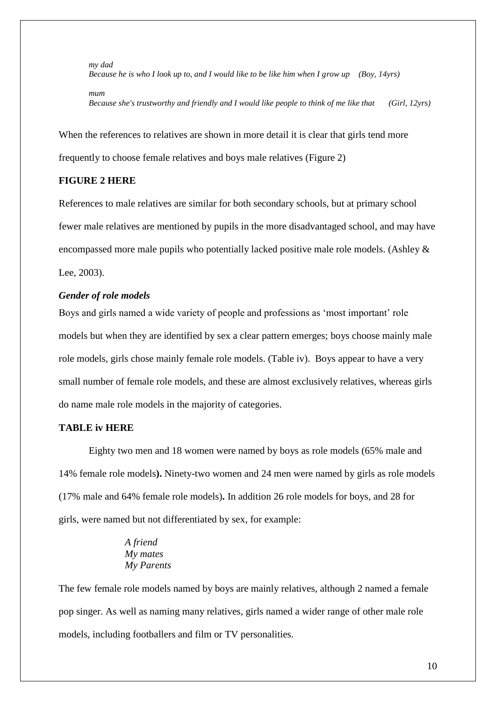*my dad Because he is who I look up to, and I would like to be like him when I grow up (Boy, 14yrs) mum Because she's trustworthy and friendly and I would like people to think of me like that (Girl, 12yrs)*

When the references to relatives are shown in more detail it is clear that girls tend more frequently to choose female relatives and boys male relatives (Figure 2)

## **FIGURE 2 HERE**

References to male relatives are similar for both secondary schools, but at primary school fewer male relatives are mentioned by pupils in the more disadvantaged school, and may have encompassed more male pupils who potentially lacked positive male role models. (Ashley & Lee, 2003).

## *Gender of role models*

Boys and girls named a wide variety of people and professions as "most important" role models but when they are identified by sex a clear pattern emerges; boys choose mainly male role models, girls chose mainly female role models. (Table iv). Boys appear to have a very small number of female role models, and these are almost exclusively relatives, whereas girls do name male role models in the majority of categories.

#### **TABLE iv HERE**

Eighty two men and 18 women were named by boys as role models (65% male and 14% female role models**).** Ninety-two women and 24 men were named by girls as role models (17% male and 64% female role models)**.** In addition 26 role models for boys, and 28 for girls, were named but not differentiated by sex, for example:

## *A friend My mates My Parents*

The few female role models named by boys are mainly relatives, although 2 named a female pop singer. As well as naming many relatives, girls named a wider range of other male role models, including footballers and film or TV personalities.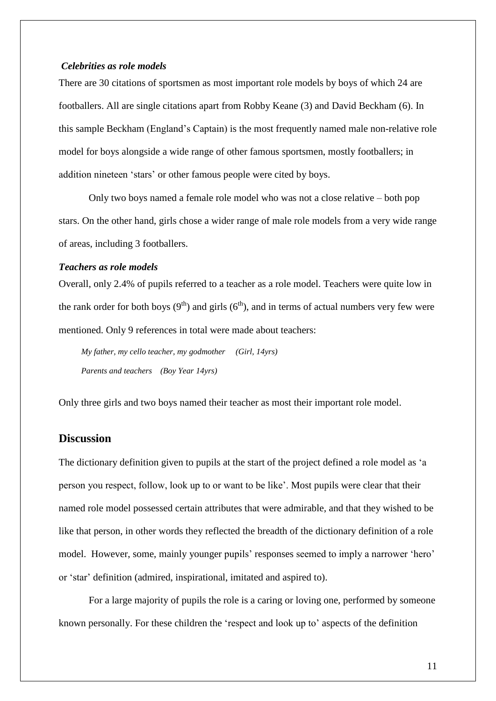#### *Celebrities as role models*

There are 30 citations of sportsmen as most important role models by boys of which 24 are footballers. All are single citations apart from Robby Keane (3) and David Beckham (6). In this sample Beckham (England"s Captain) is the most frequently named male non-relative role model for boys alongside a wide range of other famous sportsmen, mostly footballers; in addition nineteen "stars" or other famous people were cited by boys.

Only two boys named a female role model who was not a close relative – both pop stars. On the other hand, girls chose a wider range of male role models from a very wide range of areas, including 3 footballers.

#### *Teachers as role models*

Overall, only 2.4% of pupils referred to a teacher as a role model. Teachers were quite low in the rank order for both boys  $(9<sup>th</sup>)$  and girls  $(6<sup>th</sup>)$ , and in terms of actual numbers very few were mentioned. Only 9 references in total were made about teachers:

*My father, my cello teacher, my godmother (Girl, 14yrs) Parents and teachers (Boy Year 14yrs)*

Only three girls and two boys named their teacher as most their important role model.

## **Discussion**

The dictionary definition given to pupils at the start of the project defined a role model as "a person you respect, follow, look up to or want to be like". Most pupils were clear that their named role model possessed certain attributes that were admirable, and that they wished to be like that person, in other words they reflected the breadth of the dictionary definition of a role model. However, some, mainly younger pupils' responses seemed to imply a narrower 'hero' or "star" definition (admired, inspirational, imitated and aspired to).

For a large majority of pupils the role is a caring or loving one, performed by someone known personally. For these children the "respect and look up to" aspects of the definition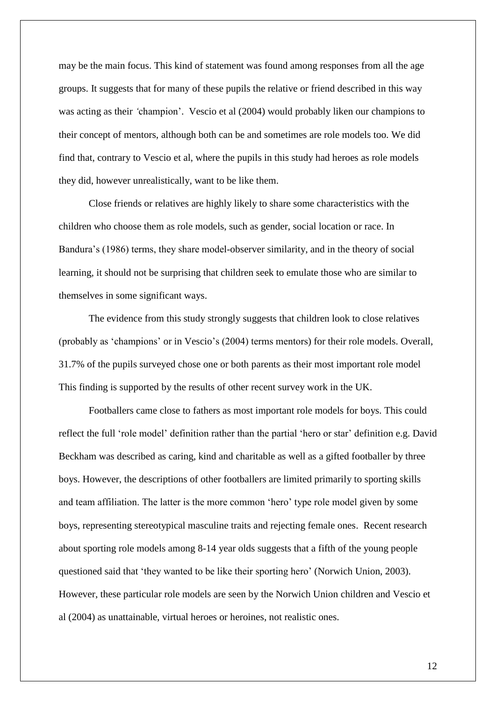may be the main focus. This kind of statement was found among responses from all the age groups. It suggests that for many of these pupils the relative or friend described in this way was acting as their 'champion'. Vescio et al (2004) would probably liken our champions to their concept of mentors, although both can be and sometimes are role models too. We did find that, contrary to Vescio et al, where the pupils in this study had heroes as role models they did, however unrealistically, want to be like them.

Close friends or relatives are highly likely to share some characteristics with the children who choose them as role models, such as gender, social location or race. In Bandura"s (1986) terms, they share model-observer similarity, and in the theory of social learning, it should not be surprising that children seek to emulate those who are similar to themselves in some significant ways.

The evidence from this study strongly suggests that children look to close relatives (probably as "champions" or in Vescio"s (2004) terms mentors) for their role models. Overall, 31.7% of the pupils surveyed chose one or both parents as their most important role model This finding is supported by the results of other recent survey work in the UK.

Footballers came close to fathers as most important role models for boys. This could reflect the full 'role model' definition rather than the partial 'hero or star' definition e.g. David Beckham was described as caring, kind and charitable as well as a gifted footballer by three boys. However, the descriptions of other footballers are limited primarily to sporting skills and team affiliation. The latter is the more common "hero" type role model given by some boys, representing stereotypical masculine traits and rejecting female ones. Recent research about sporting role models among 8-14 year olds suggests that a fifth of the young people questioned said that "they wanted to be like their sporting hero" (Norwich Union, 2003). However, these particular role models are seen by the Norwich Union children and Vescio et al (2004) as unattainable, virtual heroes or heroines, not realistic ones.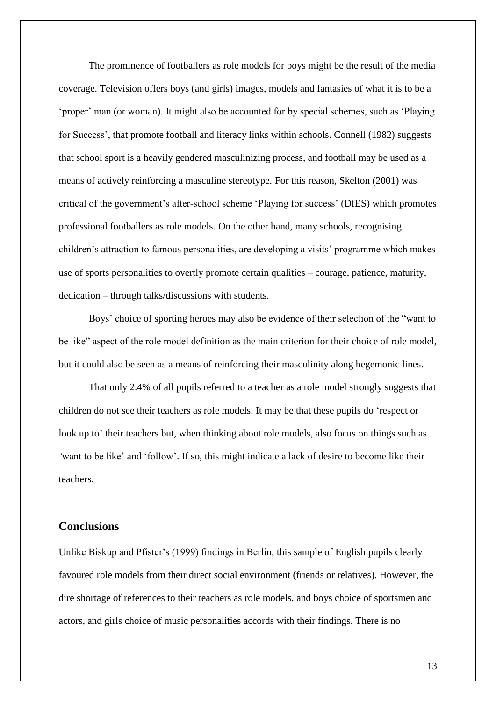The prominence of footballers as role models for boys might be the result of the media coverage. Television offers boys (and girls) images, models and fantasies of what it is to be a 'proper' man (or woman). It might also be accounted for by special schemes, such as 'Playing for Success", that promote football and literacy links within schools. Connell (1982) suggests that school sport is a heavily gendered masculinizing process, and football may be used as a means of actively reinforcing a masculine stereotype. For this reason, Skelton (2001) was critical of the government"s after-school scheme "Playing for success" (DfES) which promotes professional footballers as role models. On the other hand, many schools, recognising children"s attraction to famous personalities, are developing a visits" programme which makes use of sports personalities to overtly promote certain qualities – courage, patience, maturity, dedication – through talks/discussions with students.

Boys" choice of sporting heroes may also be evidence of their selection of the "want to be like" aspect of the role model definition as the main criterion for their choice of role model, but it could also be seen as a means of reinforcing their masculinity along hegemonic lines.

That only 2.4% of all pupils referred to a teacher as a role model strongly suggests that children do not see their teachers as role models. It may be that these pupils do "respect or look up to' their teachers but, when thinking about role models, also focus on things such as 'want to be like' and 'follow'. If so, this might indicate a lack of desire to become like their teachers.

## **Conclusions**

Unlike Biskup and Pfister"s (1999) findings in Berlin, this sample of English pupils clearly favoured role models from their direct social environment (friends or relatives). However, the dire shortage of references to their teachers as role models, and boys choice of sportsmen and actors, and girls choice of music personalities accords with their findings. There is no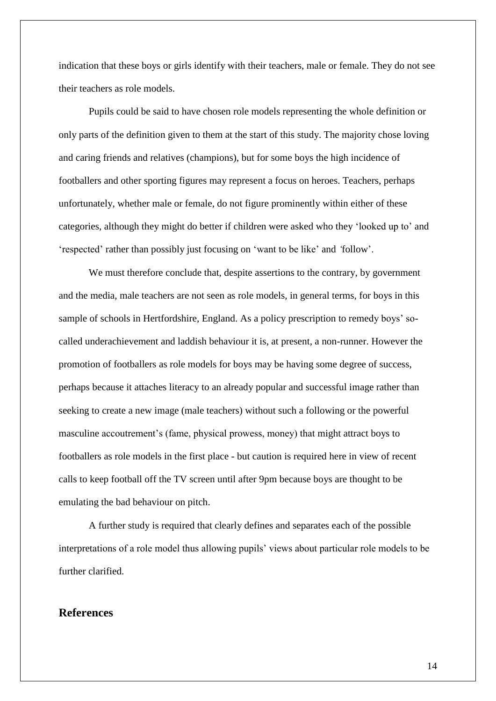indication that these boys or girls identify with their teachers, male or female. They do not see their teachers as role models.

Pupils could be said to have chosen role models representing the whole definition or only parts of the definition given to them at the start of this study. The majority chose loving and caring friends and relatives (champions), but for some boys the high incidence of footballers and other sporting figures may represent a focus on heroes. Teachers, perhaps unfortunately, whether male or female, do not figure prominently within either of these categories, although they might do better if children were asked who they "looked up to" and "respected" rather than possibly just focusing on "want to be like" and *"*follow".

We must therefore conclude that, despite assertions to the contrary, by government and the media, male teachers are not seen as role models, in general terms, for boys in this sample of schools in Hertfordshire, England. As a policy prescription to remedy boys' socalled underachievement and laddish behaviour it is, at present, a non-runner. However the promotion of footballers as role models for boys may be having some degree of success, perhaps because it attaches literacy to an already popular and successful image rather than seeking to create a new image (male teachers) without such a following or the powerful masculine accoutrement's (fame, physical prowess, money) that might attract boys to footballers as role models in the first place - but caution is required here in view of recent calls to keep football off the TV screen until after 9pm because boys are thought to be emulating the bad behaviour on pitch.

A further study is required that clearly defines and separates each of the possible interpretations of a role model thus allowing pupils' views about particular role models to be further clarified.

## **References**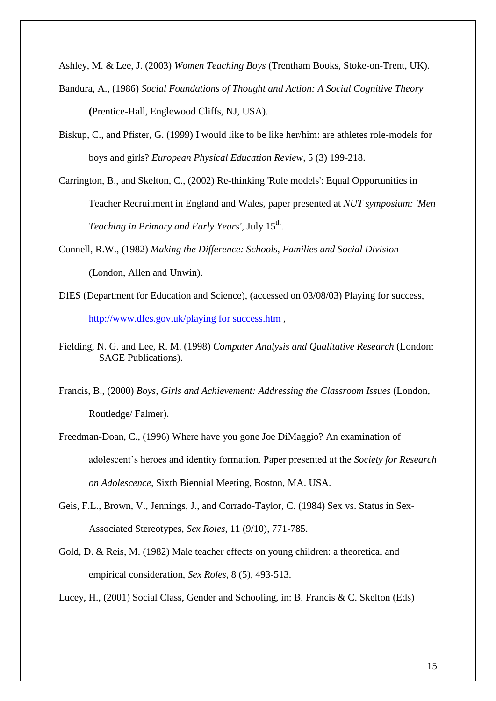Ashley, M. & Lee, J. (2003) *Women Teaching Boys* (Trentham Books, Stoke-on-Trent, UK).

- Bandura, A., (1986) *Social Foundations of Thought and Action: A Social Cognitive Theory* **(**Prentice-Hall, Englewood Cliffs, NJ, USA).
- Biskup, C., and Pfister, G. (1999) I would like to be like her/him: are athletes role-models for boys and girls? *European Physical Education Review,* 5 (3) 199-218.
- Carrington, B., and Skelton, C., (2002) Re-thinking 'Role models': Equal Opportunities in Teacher Recruitment in England and Wales, paper presented at *NUT symposium: 'Men*  Teaching in Primary and Early Years', July 15<sup>th</sup>.
- Connell, R.W., (1982) *Making the Difference: Schools, Families and Social Division* (London, Allen and Unwin).
- DfES (Department for Education and Science), (accessed on 03/08/03) Playing for success, [http://www.dfes.gov.uk/playing for success.htm](http://www.dfes.gov.uk/playing%20for%20success.htm) ,
- Fielding, N. G. and Lee, R. M. (1998) *Computer Analysis and Qualitative Research* (London: SAGE Publications).
- Francis, B., (2000) *Boys, Girls and Achievement: Addressing the Classroom Issues* (London, Routledge/ Falmer).
- Freedman-Doan, C., (1996) Where have you gone Joe DiMaggio? An examination of adolescent"s heroes and identity formation. Paper presented at the *Society for Research on Adolescence*, Sixth Biennial Meeting, Boston, MA. USA.
- Geis, F.L., Brown, V., Jennings, J., and Corrado-Taylor, C. (1984) Sex vs. Status in Sex-Associated Stereotypes, *Sex Roles*, 11 (9/10), 771-785.
- Gold, D. & Reis, M. (1982) Male teacher effects on young children: a theoretical and empirical consideration, *Sex Roles,* 8 (5), 493-513.

Lucey, H., (2001) Social Class, Gender and Schooling, in: B. Francis & C. Skelton (Eds)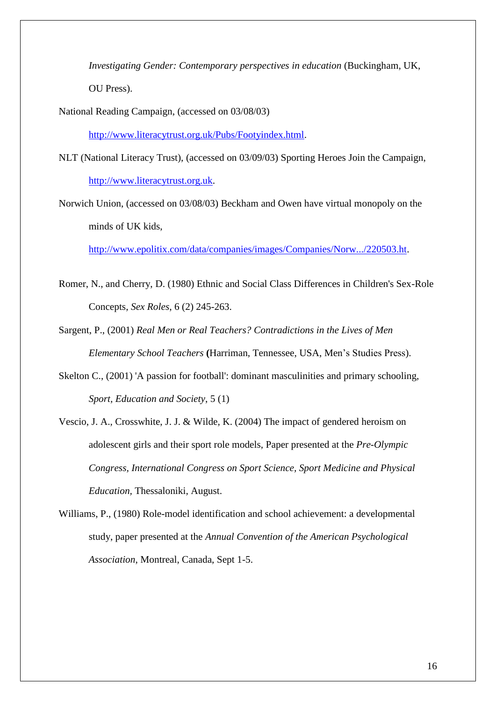*Investigating Gender: Contemporary perspectives in education* (Buckingham, UK, OU Press).

National Reading Campaign, (accessed on 03/08/03)

[http://www.literacytrust.org.uk/Pubs/Footyindex.html.](http://www.literacytrust.org.uk/Pubs?Footyindex.html)

- NLT (National Literacy Trust), (accessed on 03/09/03) Sporting Heroes Join the Campaign, [http://www.literacytrust.org.uk.](http://www.literacytrust.org.uk/)
- Norwich Union, (accessed on 03/08/03) Beckham and Owen have virtual monopoly on the minds of UK kids,

[http://www.epolitix.com/data/companies/images/Companies/Norw.../220503.ht.](http://www.epolitix.com/data/companies/images/Companies/Norw.../220503.ht)

- Romer, N., and Cherry, D. (1980) Ethnic and Social Class Differences in Children's Sex-Role Concepts, *Sex Roles*, 6 (2) 245-263.
- Sargent, P., (2001) *Real Men or Real Teachers? Contradictions in the Lives of Men Elementary School Teachers* **(**Harriman, Tennessee, USA, Men"s Studies Press).
- Skelton C., (2001) 'A passion for football': dominant masculinities and primary schooling, *Sport, Education and Society*, 5 (1)
- Vescio, J. A., Crosswhite, J. J. & Wilde, K. (2004) The impact of gendered heroism on adolescent girls and their sport role models, Paper presented at the *Pre-Olympic Congress, International Congress on Sport Science, Sport Medicine and Physical Education,* Thessaloniki, August.
- Williams, P., (1980) Role-model identification and school achievement: a developmental study, paper presented at the *Annual Convention of the American Psychological Association*, Montreal, Canada, Sept 1-5.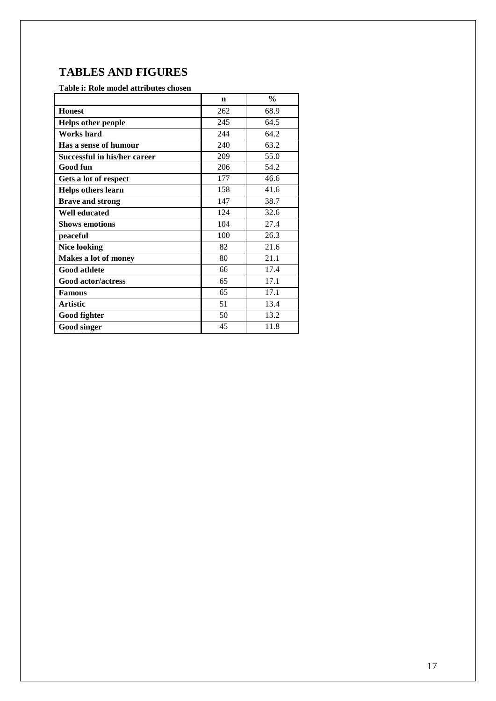## **TABLES AND FIGURES**

## **Table i: Role model attributes chosen**

|                              | n   | $\frac{0}{0}$ |
|------------------------------|-----|---------------|
| <b>Honest</b>                | 262 | 68.9          |
| <b>Helps other people</b>    | 245 | 64.5          |
| <b>Works</b> hard            | 244 | 64.2          |
| Has a sense of humour        | 240 | 63.2          |
| Successful in his/her career | 209 | 55.0          |
| Good fun                     | 206 | 54.2          |
| Gets a lot of respect        | 177 | 46.6          |
| <b>Helps others learn</b>    | 158 | 41.6          |
| <b>Brave and strong</b>      | 147 | 38.7          |
| <b>Well educated</b>         | 124 | 32.6          |
| <b>Shows emotions</b>        | 104 | 27.4          |
| peaceful                     | 100 | 26.3          |
| <b>Nice looking</b>          | 82  | 21.6          |
| Makes a lot of money         | 80  | 21.1          |
| <b>Good athlete</b>          | 66  | 17.4          |
| <b>Good actor/actress</b>    | 65  | 17.1          |
| <b>Famous</b>                | 65  | 17.1          |
| <b>Artistic</b>              | 51  | 13.4          |
| Good fighter                 | 50  | 13.2          |
| Good singer                  | 45  | 11.8          |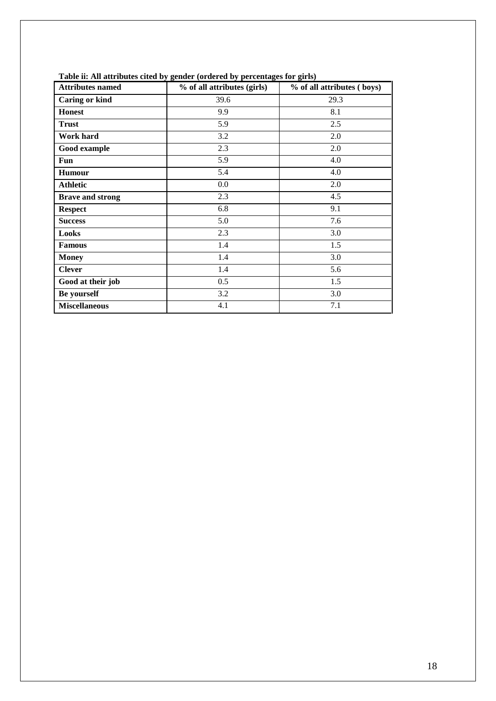| <b>Attributes named</b> | % of all attributes (girls) | % of all attributes (boys) |
|-------------------------|-----------------------------|----------------------------|
| <b>Caring or kind</b>   | 39.6                        | 29.3                       |
| <b>Honest</b>           | 9.9                         | 8.1                        |
| <b>Trust</b>            | 5.9                         | 2.5                        |
| Work hard               | 3.2                         | 2.0                        |
| Good example            | 2.3                         | 2.0                        |
| Fun                     | 5.9                         | 4.0                        |
| <b>Humour</b>           | 5.4                         | 4.0                        |
| <b>Athletic</b>         | 0.0                         | 2.0                        |
| <b>Brave and strong</b> | 2.3                         | 4.5                        |
| <b>Respect</b>          | 6.8                         | 9.1                        |
| <b>Success</b>          | 5.0                         | 7.6                        |
| Looks                   | 2.3                         | 3.0                        |
| <b>Famous</b>           | 1.4                         | 1.5                        |
| <b>Money</b>            | 1.4                         | 3.0                        |
| <b>Clever</b>           | 1.4                         | 5.6                        |
| Good at their job       | 0.5                         | 1.5                        |
| Be yourself             | 3.2                         | 3.0                        |
| <b>Miscellaneous</b>    | 4.1                         | 7.1                        |

**Table ii: All attributes cited by gender (ordered by percentages for girls)**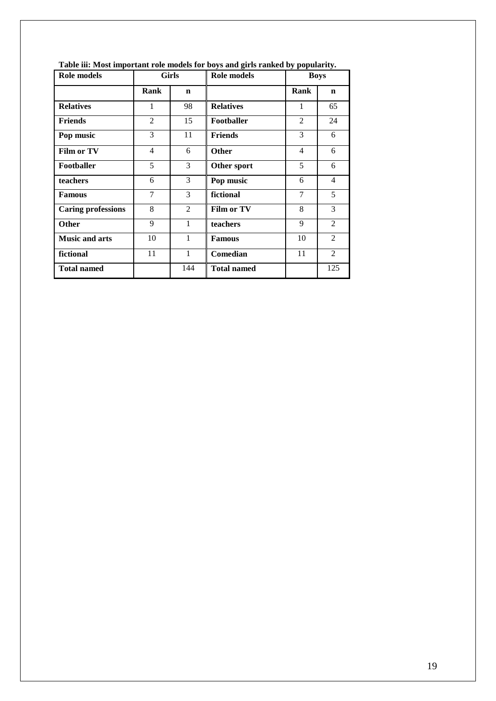| Role models               | <b>Girls</b>   |                |                    |                | Role models    |  | <b>Boys</b> |  |
|---------------------------|----------------|----------------|--------------------|----------------|----------------|--|-------------|--|
|                           | Rank           | $\mathbf n$    |                    | Rank           | $\mathbf n$    |  |             |  |
| <b>Relatives</b>          | 1              | 98             | <b>Relatives</b>   | $\mathbf{1}$   | 65             |  |             |  |
| <b>Friends</b>            | $\overline{2}$ | 15             | Footballer         | $\overline{2}$ | 24             |  |             |  |
| Pop music                 | 3              | 11             | <b>Friends</b>     | 3              | 6              |  |             |  |
| Film or TV                | $\overline{4}$ | 6              | <b>Other</b>       | $\overline{4}$ | 6              |  |             |  |
| <b>Footballer</b>         | 5              | 3              | Other sport        | 5              | 6              |  |             |  |
| teachers                  | 6              | 3              | Pop music          | 6              | $\overline{4}$ |  |             |  |
| <b>Famous</b>             | 7              | 3              | fictional          | 7              | 5              |  |             |  |
| <b>Caring professions</b> | 8              | $\overline{2}$ | <b>Film or TV</b>  | 8              | 3              |  |             |  |
| Other                     | 9              | 1              | teachers           | 9              | $\mathfrak{D}$ |  |             |  |
| <b>Music and arts</b>     | 10             | 1              | <b>Famous</b>      | 10             | $\overline{2}$ |  |             |  |
| fictional                 | 11             | 1              | Comedian           | 11             | $\overline{2}$ |  |             |  |
| <b>Total named</b>        |                | 144            | <b>Total named</b> |                | 125            |  |             |  |

**Table iii: Most important role models for boys and girls ranked by popularity.**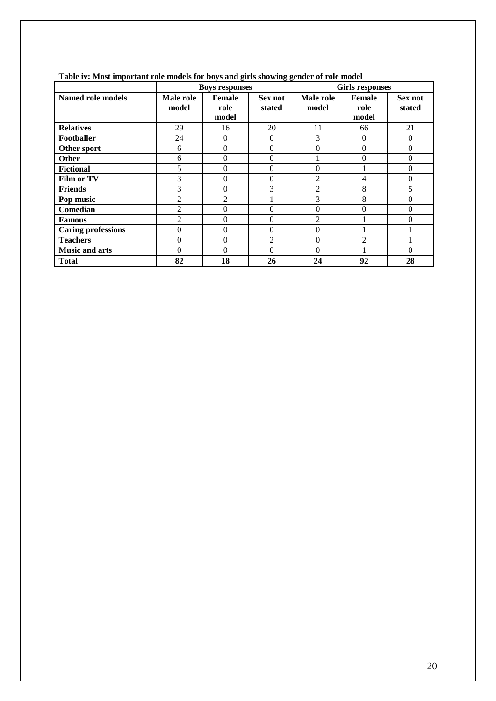|                           | Tube To most important fore models for boys and girls showing gender of fore model |                                |                   |                        |                                |                   |  |
|---------------------------|------------------------------------------------------------------------------------|--------------------------------|-------------------|------------------------|--------------------------------|-------------------|--|
|                           | <b>Boys responses</b>                                                              |                                |                   | <b>Girls responses</b> |                                |                   |  |
| Named role models         | Male role<br>model                                                                 | <b>Female</b><br>role<br>model | Sex not<br>stated | Male role<br>model     | <b>Female</b><br>role<br>model | Sex not<br>stated |  |
| <b>Relatives</b>          | 29                                                                                 | 16                             | 20                | 11                     | 66                             | 21                |  |
| Footballer                | 24                                                                                 | $\Omega$                       | $\Omega$          | 3                      | $\theta$                       | $\overline{0}$    |  |
| Other sport               | 6                                                                                  | $\Omega$                       | $\Omega$          | $\theta$               | 0                              | $\mathbf{0}$      |  |
| Other                     | 6                                                                                  | $\theta$                       | $\Omega$          |                        | $\Omega$                       | $\theta$          |  |
| <b>Fictional</b>          | 5                                                                                  | $\theta$                       | $\Omega$          | $\theta$               |                                | $\theta$          |  |
| Film or TV                | 3                                                                                  | $\Omega$                       | $\Omega$          | $\overline{2}$         | 4                              | $\mathbf{0}$      |  |
| <b>Friends</b>            | 3                                                                                  | $\Omega$                       | 3                 | $\overline{2}$         | 8                              | 5                 |  |
| Pop music                 | $\overline{2}$                                                                     | $\overline{2}$                 |                   | 3                      | 8                              | $\mathbf{0}$      |  |
| Comedian                  | $\overline{2}$                                                                     | $\theta$                       | $\theta$          | $\boldsymbol{0}$       | 0                              | $\mathbf{0}$      |  |
| <b>Famous</b>             | $\overline{2}$                                                                     | $\theta$                       | $\Omega$          | $\overline{2}$         |                                | $\theta$          |  |
| <b>Caring professions</b> | $\boldsymbol{0}$                                                                   | $\theta$                       | $\theta$          | $\boldsymbol{0}$       |                                |                   |  |
| <b>Teachers</b>           | $\theta$                                                                           | $\theta$                       | $\overline{2}$    | $\theta$               | $\mathfrak{D}$                 |                   |  |
| <b>Music and arts</b>     | $\theta$                                                                           | $\Omega$                       | $\Omega$          | $\theta$               |                                | $\theta$          |  |
| <b>Total</b>              | 82                                                                                 | 18                             | 26                | 24                     | 92                             | 28                |  |

#### **Table iv: Most important role models for boys and girls showing gender of role model**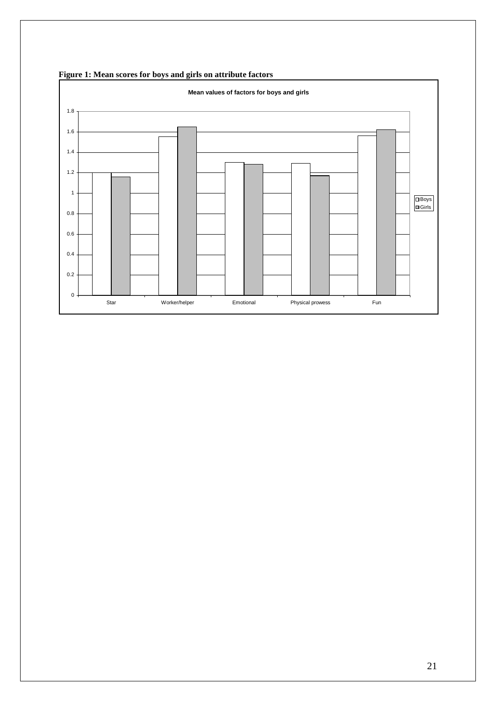

**Figure 1: Mean scores for boys and girls on attribute factors**